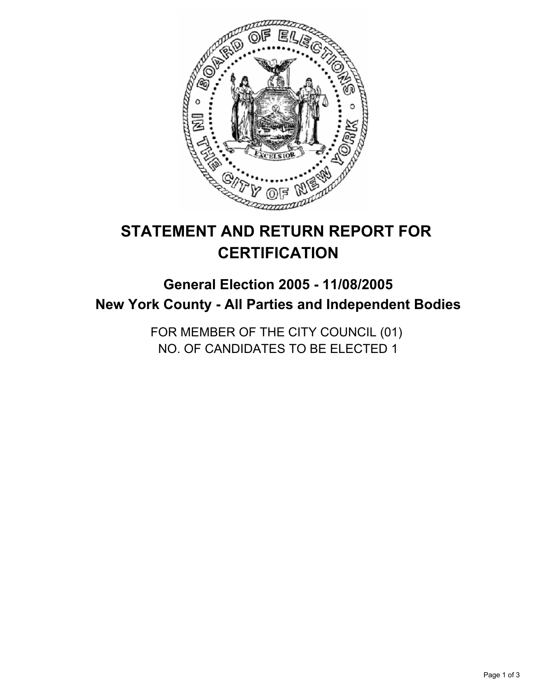

# **STATEMENT AND RETURN REPORT FOR CERTIFICATION**

# **General Election 2005 - 11/08/2005 New York County - All Parties and Independent Bodies**

FOR MEMBER OF THE CITY COUNCIL (01) NO. OF CANDIDATES TO BE ELECTED 1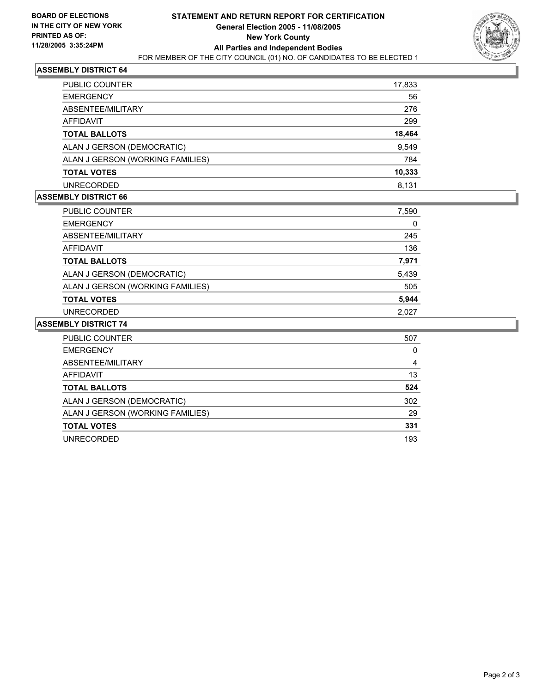

### **ASSEMBLY DISTRICT 64**

| <b>PUBLIC COUNTER</b>            | 17,833 |
|----------------------------------|--------|
| <b>EMERGENCY</b>                 | 56     |
| ABSENTEE/MILITARY                | 276    |
| AFFIDAVIT                        | 299    |
| <b>TOTAL BALLOTS</b>             | 18,464 |
| ALAN J GERSON (DEMOCRATIC)       | 9,549  |
| ALAN J GERSON (WORKING FAMILIES) | 784    |
| <b>TOTAL VOTES</b>               | 10,333 |
| <b>UNRECORDED</b>                | 8.131  |

### **ASSEMBLY DISTRICT 66**

| <b>PUBLIC COUNTER</b>            | 7,590 |
|----------------------------------|-------|
| <b>EMERGENCY</b>                 | 0     |
| ABSENTEE/MILITARY                | 245   |
| AFFIDAVIT                        | 136   |
| <b>TOTAL BALLOTS</b>             | 7,971 |
| ALAN J GERSON (DEMOCRATIC)       | 5,439 |
| ALAN J GERSON (WORKING FAMILIES) | 505   |
| <b>TOTAL VOTES</b>               | 5,944 |
| <b>UNRECORDED</b>                | 2,027 |

#### **ASSEMBLY DISTRICT 74**

| <b>PUBLIC COUNTER</b>            | 507 |
|----------------------------------|-----|
| <b>EMERGENCY</b>                 | O   |
| ABSENTEE/MILITARY                | 4   |
| AFFIDAVIT                        | 13  |
| <b>TOTAL BALLOTS</b>             | 524 |
| ALAN J GERSON (DEMOCRATIC)       | 302 |
| ALAN J GERSON (WORKING FAMILIES) | 29  |
| <b>TOTAL VOTES</b>               | 331 |
| UNRECORDED                       | 193 |